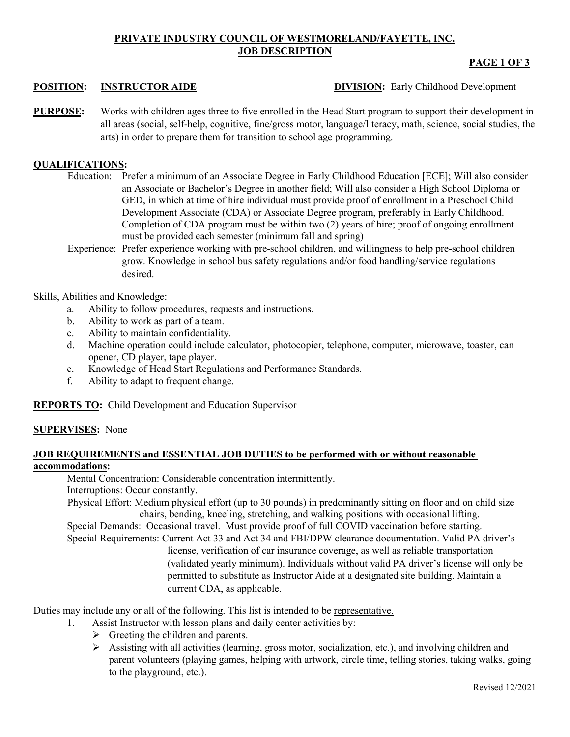# **PRIVATE INDUSTRY COUNCIL OF WESTMORELAND/FAYETTE, INC. JOB DESCRIPTION**

# **PAGE 1 OF 3**

**POSITION: INSTRUCTOR AIDE DIVISION:** Early Childhood Development

**PURPOSE:** Works with children ages three to five enrolled in the Head Start program to support their development in all areas (social, self-help, cognitive, fine/gross motor, language/literacy, math, science, social studies, the arts) in order to prepare them for transition to school age programming.

# **QUALIFICATIONS:**

- Education: Prefer a minimum of an Associate Degree in Early Childhood Education [ECE]; Will also consider an Associate or Bachelor's Degree in another field; Will also consider a High School Diploma or GED, in which at time of hire individual must provide proof of enrollment in a Preschool Child Development Associate (CDA) or Associate Degree program, preferably in Early Childhood. Completion of CDA program must be within two (2) years of hire; proof of ongoing enrollment must be provided each semester (minimum fall and spring)
- Experience: Prefer experience working with pre-school children, and willingness to help pre-school children grow. Knowledge in school bus safety regulations and/or food handling/service regulations desired.

## Skills, Abilities and Knowledge:

- a. Ability to follow procedures, requests and instructions.
- b. Ability to work as part of a team.
- c. Ability to maintain confidentiality.
- d. Machine operation could include calculator, photocopier, telephone, computer, microwave, toaster, can opener, CD player, tape player.
- e. Knowledge of Head Start Regulations and Performance Standards.
- f. Ability to adapt to frequent change.

**REPORTS TO:** Child Development and Education Supervisor

### **SUPERVISES:** None

### **JOB REQUIREMENTS and ESSENTIAL JOB DUTIES to be performed with or without reasonable accommodations:**

Mental Concentration: Considerable concentration intermittently.

Interruptions: Occur constantly.

Physical Effort: Medium physical effort (up to 30 pounds) in predominantly sitting on floor and on child size chairs, bending, kneeling, stretching, and walking positions with occasional lifting.

Special Demands: Occasional travel. Must provide proof of full COVID vaccination before starting. Special Requirements: Current Act 33 and Act 34 and FBI/DPW clearance documentation. Valid PA driver's

license, verification of car insurance coverage, as well as reliable transportation (validated yearly minimum). Individuals without valid PA driver's license will only be permitted to substitute as Instructor Aide at a designated site building. Maintain a current CDA, as applicable.

Duties may include any or all of the following. This list is intended to be representative.

- 1. Assist Instructor with lesson plans and daily center activities by:
	- $\triangleright$  Greeting the children and parents.
	- $\triangleright$  Assisting with all activities (learning, gross motor, socialization, etc.), and involving children and parent volunteers (playing games, helping with artwork, circle time, telling stories, taking walks, going to the playground, etc.).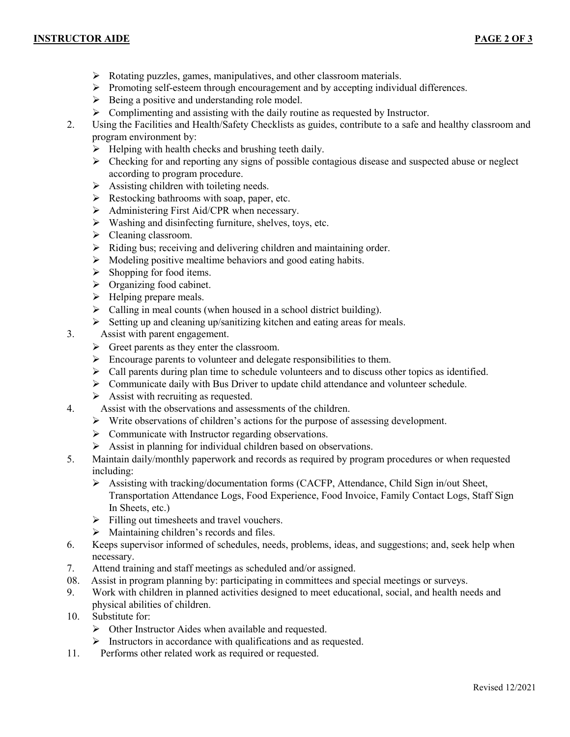# **INSTRUCTOR AIDE PAGE 2 OF 3**

3.

- Rotating puzzles, games, manipulatives, and other classroom materials.
- $\triangleright$  Promoting self-esteem through encouragement and by accepting individual differences.
- $\triangleright$  Being a positive and understanding role model.
- Solution 2. Complimenting and assisting with the daily routine as requested by Instructor.<br>2. Using the Facilities and Health/Safety Checklists as guides, contribute to a safe and
- 2. Using the Facilities and Health/Safety Checklists as guides, contribute to a safe and healthy classroom and program environment by:
	- $\triangleright$  Helping with health checks and brushing teeth daily.
	- $\triangleright$  Checking for and reporting any signs of possible contagious disease and suspected abuse or neglect according to program procedure.
	- $\triangleright$  Assisting children with toileting needs.
	- $\triangleright$  Restocking bathrooms with soap, paper, etc.
	- $\triangleright$  Administering First Aid/CPR when necessary.
	- $\triangleright$  Washing and disinfecting furniture, shelves, toys, etc.
	- $\triangleright$  Cleaning classroom.
	- $\triangleright$  Riding bus; receiving and delivering children and maintaining order.
	- $\triangleright$  Modeling positive mealtime behaviors and good eating habits.
	- $\triangleright$  Shopping for food items.
	- $\triangleright$  Organizing food cabinet.
	- $\blacktriangleright$  Helping prepare meals.
	- $\triangleright$  Calling in meal counts (when housed in a school district building).
	- $\triangleright$  Setting up and cleaning up/sanitizing kitchen and eating areas for meals.
	- Assist with parent engagement.
	- $\triangleright$  Greet parents as they enter the classroom.
	- $\triangleright$  Encourage parents to volunteer and delegate responsibilities to them.
	- $\triangleright$  Call parents during plan time to schedule volunteers and to discuss other topics as identified.
	- Communicate daily with Bus Driver to update child attendance and volunteer schedule.
- $\triangleright$  Assist with recruiting as requested.<br>4. Assist with the observations and asses
	- Assist with the observations and assessments of the children.
		- $\triangleright$  Write observations of children's actions for the purpose of assessing development.
		- $\triangleright$  Communicate with Instructor regarding observations.
		- $\triangleright$  Assist in planning for individual children based on observations.
- 5. Maintain daily/monthly paperwork and records as required by program procedures or when requested including:
	- $\triangleright$  Assisting with tracking/documentation forms (CACFP, Attendance, Child Sign in/out Sheet, Transportation Attendance Logs, Food Experience, Food Invoice, Family Contact Logs, Staff Sign In Sheets, etc.)
	- $\triangleright$  Filling out timesheets and travel vouchers.
	-
- $\triangleright$  Maintaining children's records and files.<br>6. Keeps supervisor informed of schedules, nee Keeps supervisor informed of schedules, needs, problems, ideas, and suggestions; and, seek help when necessary.
- 7. Attend training and staff meetings as scheduled and/or assigned.
- 08. Assist in program planning by: participating in committees and special meetings or surveys.
- 9. Work with children in planned activities designed to meet educational, social, and health needs and physical abilities of children.
- 10. Substitute for:
	- Other Instructor Aides when available and requested.
- $\triangleright$  Instructors in accordance with qualifications and as requested.<br>11. Performs other related work as required or requested.
- Performs other related work as required or requested.